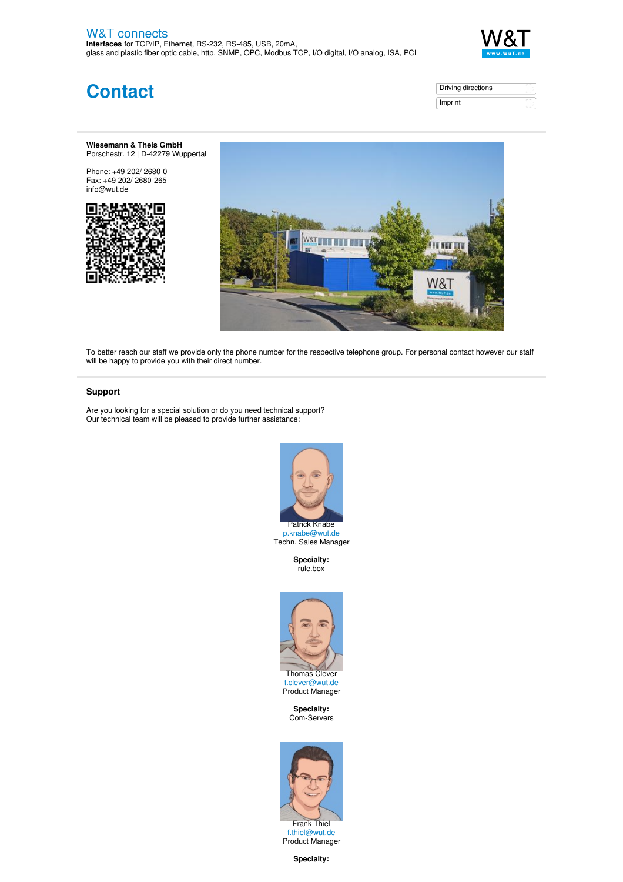

**Contact**

| Driving directions |  |
|--------------------|--|
| Imprint            |  |

## **Wiesemann & Theis GmbH** Porschestr. 12 | D-42279 Wuppertal

Phone: +49 202/ [2680-0](tel:+4920226800) Fax: +49 202/ 2680-265 [info@wut.de](mailto:info@wut.de)





To better reach our staff we provide only the phone number for the respective telephone group. For personal contact however our staff will be happy to provide you with their direct number.

## **Support**

Are you looking for a special solution or do you need technical support? Our technical team will be pleased to provide further assistance:



Techn. Sales Manager

**Specialty:** rule.box



**Specialty:** Com-Servers



**Specialty:**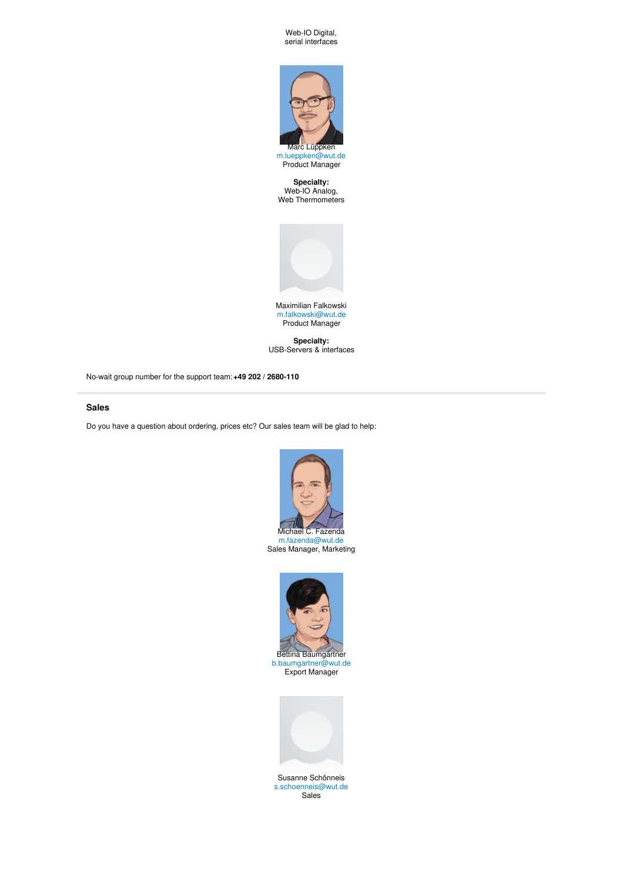Web-IO Digital, serial interfaces



[m.lueppken@wut.de](mailto:m.lueppken@wut.de) Product Manager

**Specialty:** Web-IO Analog, Web Thermometers



[m.falkowski@wut.de](mailto:m.falkowski@wut.de) Product Manager

**Specialty:** USB-Servers & interfaces

No-wait group number for the support team:**+49 202 / [2680-110](tel:+492022680110)**

## **Sales**

Do you have a question about ordering, prices etc? Our sales team will be glad to help:



Sales Manager, Marketing



[b.baumgartner@wut.de](mailto:b.baumgartner@wut.de) Export Manager



Susanne Schönneis [s.schoenneis@wut.de](mailto:s.schoenneis@wut.de) Sales